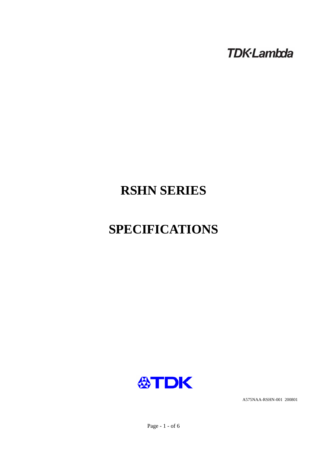**TDK-Lambda** 

# **RSHN SERIES**

# **SPECIFICATIONS**



A575NAA-RSHN-001 200801

Page - 1 - of 6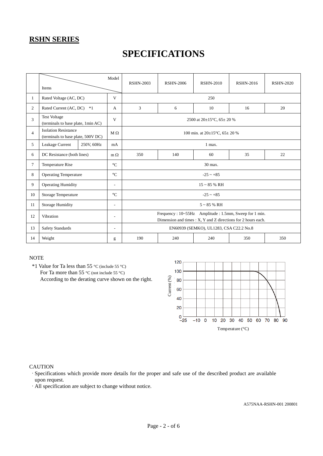# **SPECIFICATIONS**

|                | Items                                                             |      | Model                    | <b>RSHN-2003</b>                                                                                                       | <b>RSHN-2006</b> | <b>RSHN-2010</b> | <b>RSHN-2016</b> | <b>RSHN-2020</b> |  |
|----------------|-------------------------------------------------------------------|------|--------------------------|------------------------------------------------------------------------------------------------------------------------|------------------|------------------|------------------|------------------|--|
| $\mathbf{1}$   | Rated Voltage (AC, DC)                                            |      | V                        | 250                                                                                                                    |                  |                  |                  |                  |  |
| 2              | Rated Current (AC, DC)                                            | $*1$ | A                        | 3                                                                                                                      | 6                | 10               | 16               | 20               |  |
| 3              | <b>Test Voltage</b><br>(terminals to base plate, 1min AC)         |      | V                        | 2500 at $20\pm15^{\circ}$ C, 65 $\pm$ 20 %                                                                             |                  |                  |                  |                  |  |
| $\overline{4}$ | <b>Isolation Resistance</b><br>(terminals to base plate, 500V DC) |      | $M \Omega$               | 100 min. at $20\pm15^{\circ}$ C, $65\pm20$ %                                                                           |                  |                  |                  |                  |  |
| 5              | Leakage Current<br>250V, 60Hz                                     |      | mA                       | 1 max.                                                                                                                 |                  |                  |                  |                  |  |
| 6              | DC Resistance (both lines)                                        |      | $m \Omega$               | 350                                                                                                                    | 140              | 60               | 35               | 22               |  |
| $\tau$         | <b>Temperature Rise</b>                                           |      | $\rm ^{\circ}C$          | 30 max.                                                                                                                |                  |                  |                  |                  |  |
| 8              | <b>Operating Temperature</b>                                      |      | $\rm ^{\circ}C$          | $-25 - +85$                                                                                                            |                  |                  |                  |                  |  |
| 9              | <b>Operating Humidity</b>                                         |      | $\overline{\phantom{a}}$ | $15 \sim 85$ % RH                                                                                                      |                  |                  |                  |                  |  |
| 10             | <b>Storage Temperature</b>                                        |      | $\rm ^{\circ}C$          | $-25 - +85$                                                                                                            |                  |                  |                  |                  |  |
| 11             | <b>Storage Humidity</b>                                           |      | $\overline{\phantom{a}}$ | $5 \sim 85$ % RH                                                                                                       |                  |                  |                  |                  |  |
| 12             | Vibration                                                         |      | $\overline{\phantom{a}}$ | Frequency: 10~55Hz Amplitude: 1.5mm, Sweep for 1 min.<br>Dimension and times : X, Y and Z directions for 2 hours each. |                  |                  |                  |                  |  |
| 13             | <b>Safety Standards</b>                                           |      | $\overline{\phantom{a}}$ | EN60939 (SEMKO), UL1283, CSA C22.2 No.8                                                                                |                  |                  |                  |                  |  |
| 14             | Weight                                                            |      | g                        | 190                                                                                                                    | 240              | 240              | 350              | 350              |  |

#### **NOTE**

 \*1 Value for Ta less than 55 °C (include 55 °C) For Ta more than 55 °C (not include 55 °C) According to the derating curve shown on the right.



#### **CAUTION**

·Specifications which provide more details for the proper and safe use of the described product are available upon request.

·All specification are subject to change without notice.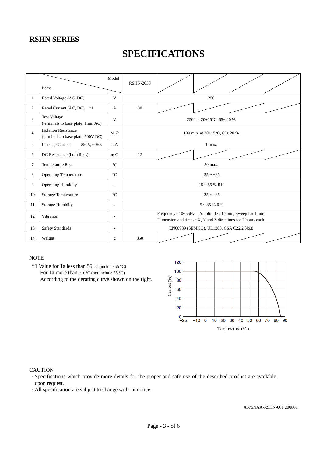# **SPECIFICATIONS**

|                | Model<br>Items                                                    |  | <b>RSHN-2030</b>         |                                                                                                                        |  |  |  |  |  |
|----------------|-------------------------------------------------------------------|--|--------------------------|------------------------------------------------------------------------------------------------------------------------|--|--|--|--|--|
| 1              | Rated Voltage (AC, DC)                                            |  | V                        | 250                                                                                                                    |  |  |  |  |  |
| 2              | Rated Current (AC, DC) *1                                         |  | A                        | 30                                                                                                                     |  |  |  |  |  |
| 3              | <b>Test Voltage</b><br>(terminals to base plate, 1min AC)         |  | V                        | 2500 at 20±15°C, 65± 20 %                                                                                              |  |  |  |  |  |
| $\overline{4}$ | <b>Isolation Resistance</b><br>(terminals to base plate, 500V DC) |  | $M \Omega$               | 100 min. at $20\pm15^{\circ}$ C, $65\pm20$ %                                                                           |  |  |  |  |  |
| 5              | Leakage Current<br>250V, 60Hz                                     |  | mA                       | 1 max.                                                                                                                 |  |  |  |  |  |
| 6              | DC Resistance (both lines)                                        |  | $m \Omega$               | 12                                                                                                                     |  |  |  |  |  |
| 7              | Temperature Rise                                                  |  | $\rm ^{\circ}C$          | 30 max.                                                                                                                |  |  |  |  |  |
| 8              | <b>Operating Temperature</b>                                      |  | $\rm ^{\circ}C$          | $-25 - +85$                                                                                                            |  |  |  |  |  |
| 9              | <b>Operating Humidity</b>                                         |  | ÷,                       | $15 - 85$ % RH                                                                                                         |  |  |  |  |  |
| 10             | <b>Storage Temperature</b>                                        |  | $\rm ^{\circ}C$          | $-25 - +85$                                                                                                            |  |  |  |  |  |
| 11             | <b>Storage Humidity</b>                                           |  | $\overline{\phantom{a}}$ | $5 \sim 85$ % RH                                                                                                       |  |  |  |  |  |
| 12             | Vibration                                                         |  | $\overline{a}$           | Frequency: 10~55Hz Amplitude: 1.5mm, Sweep for 1 min.<br>Dimension and times : X, Y and Z directions for 2 hours each. |  |  |  |  |  |
| 13             | <b>Safety Standards</b>                                           |  | $\overline{a}$           | EN60939 (SEMKO), UL1283, CSA C22.2 No.8                                                                                |  |  |  |  |  |
| 14             | Weight                                                            |  | g                        | 350                                                                                                                    |  |  |  |  |  |

#### **NOTE**

 \*1 Value for Ta less than 55 °C (include 55 °C) For Ta more than 55 °C (not include 55 °C) According to the derating curve shown on the right.



#### **CAUTION**

- ·Specifications which provide more details for the proper and safe use of the described product are available upon request.
- ·All specification are subject to change without notice.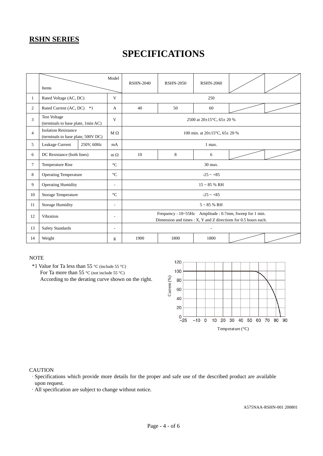# **SPECIFICATIONS**

|                | Items                                                             | Model                    | <b>RSHN-2040</b>                                                                                                         | <b>RSHN-2050</b>                             | <b>RSHN-2060</b> |  |  |  |
|----------------|-------------------------------------------------------------------|--------------------------|--------------------------------------------------------------------------------------------------------------------------|----------------------------------------------|------------------|--|--|--|
| $\mathbf{1}$   | Rated Voltage (AC, DC)                                            | V                        |                                                                                                                          | 250                                          |                  |  |  |  |
| 2              | Rated Current (AC, DC)                                            | $*1$<br>A                | 40                                                                                                                       | 50                                           | 60               |  |  |  |
| $\overline{3}$ | <b>Test Voltage</b><br>(terminals to base plate, 1min AC)         | V                        | 2500 at $20\pm15^{\circ}$ C, 65 $\pm$ 20 %                                                                               |                                              |                  |  |  |  |
| $\overline{4}$ | <b>Isolation Resistance</b><br>(terminals to base plate, 500V DC) | $M \Omega$               |                                                                                                                          | 100 min. at $20\pm15^{\circ}$ C, $65\pm20$ % |                  |  |  |  |
| 5              | Leakage Current                                                   | 250V, 60Hz<br>mA         | 1 max.                                                                                                                   |                                              |                  |  |  |  |
| 6              | DC Resistance (both lines)                                        | $m \Omega$               | 10                                                                                                                       | 8                                            | 6                |  |  |  |
| $\tau$         | Temperature Rise                                                  |                          | 30 max.                                                                                                                  |                                              |                  |  |  |  |
| 8              | <b>Operating Temperature</b>                                      | $\rm ^{\circ}C$          | $-25 \sim +85$                                                                                                           |                                              |                  |  |  |  |
| 9              | <b>Operating Humidity</b>                                         | $\overline{\phantom{a}}$ | $15 \sim 85$ % RH                                                                                                        |                                              |                  |  |  |  |
| 10             | Storage Temperature                                               | $\rm ^{\circ}C$          | $-25 \sim +85$                                                                                                           |                                              |                  |  |  |  |
| 11             | <b>Storage Humidity</b>                                           |                          | $5 \sim 85$ % RH                                                                                                         |                                              |                  |  |  |  |
| 12             | Vibration                                                         |                          | Frequency: 10~55Hz Amplitude: 0.7mm, Sweep for 1 min.<br>Dimension and times : X, Y and Z directions for 0.5 hours each. |                                              |                  |  |  |  |
| 13             | <b>Safety Standards</b>                                           |                          | $\overline{a}$                                                                                                           |                                              |                  |  |  |  |
| 14             | Weight                                                            |                          | 1900                                                                                                                     | 1800                                         | 1800             |  |  |  |

#### **NOTE**

 \*1 Value for Ta less than 55 °C (include 55 °C) For Ta more than 55 °C (not include 55 °C) According to the derating curve shown on the right.



#### **CAUTION**

- ·Specifications which provide more details for the proper and safe use of the described product are available upon request.
- ·All specification are subject to change without notice.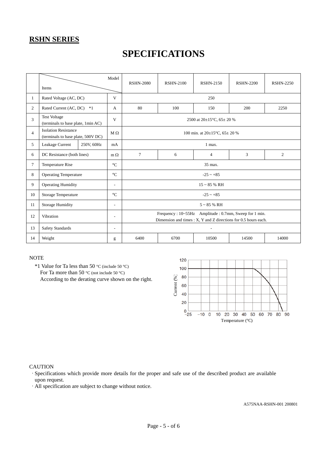# **SPECIFICATIONS**

|                | Items                                                             |      | Model                    | <b>RSHN-2080</b>                                                                                                         | <b>RSHN-2100</b> | <b>RSHN-2150</b> | <b>RSHN-2200</b> | <b>RSHN-2250</b> |  |
|----------------|-------------------------------------------------------------------|------|--------------------------|--------------------------------------------------------------------------------------------------------------------------|------------------|------------------|------------------|------------------|--|
| 1              | Rated Voltage (AC, DC)                                            |      | V                        | 250                                                                                                                      |                  |                  |                  |                  |  |
| 2              | Rated Current (AC, DC)                                            | $*1$ | A                        | 80                                                                                                                       | 100              | 150              | 200              | 2250             |  |
| 3              | <b>Test Voltage</b><br>(terminals to base plate, 1min AC)         |      | V                        | 2500 at $20\pm15^{\circ}$ C, 65 $\pm$ 20 %                                                                               |                  |                  |                  |                  |  |
| $\overline{4}$ | <b>Isolation Resistance</b><br>(terminals to base plate, 500V DC) |      | $M\Omega$                | 100 min. at $20\pm15^{\circ}$ C, $65\pm20^{\circ}$ %                                                                     |                  |                  |                  |                  |  |
| 5              | Leakage Current<br>250V, 60Hz                                     |      | mA                       | 1 max.                                                                                                                   |                  |                  |                  |                  |  |
| 6              | DC Resistance (both lines)                                        |      | $m \Omega$               | $\overline{7}$                                                                                                           | 6                | $\overline{4}$   | 3                | $\overline{2}$   |  |
| 7              | Temperature Rise                                                  |      | $\rm ^{\circ}C$          | 35 max.                                                                                                                  |                  |                  |                  |                  |  |
| 8              | <b>Operating Temperature</b>                                      |      | $\rm ^{\circ}C$          | $-25 - +85$                                                                                                              |                  |                  |                  |                  |  |
| 9              | <b>Operating Humidity</b>                                         |      | $\overline{\phantom{a}}$ | $15 \sim 85$ % RH                                                                                                        |                  |                  |                  |                  |  |
| 10             | <b>Storage Temperature</b>                                        |      | $\circ$ C                | $-25 - +85$                                                                                                              |                  |                  |                  |                  |  |
| 11             | Storage Humidity                                                  |      | $\overline{\phantom{a}}$ | $5 \sim 85$ % RH                                                                                                         |                  |                  |                  |                  |  |
| 12             | Vibration                                                         |      | $\overline{\phantom{a}}$ | Frequency: 10~55Hz Amplitude: 0.7mm, Sweep for 1 min.<br>Dimension and times : X, Y and Z directions for 0.5 hours each. |                  |                  |                  |                  |  |
| 13             | <b>Safety Standards</b>                                           |      | $\overline{a}$           |                                                                                                                          |                  |                  |                  |                  |  |
| 14             | Weight                                                            |      | g                        | 6400                                                                                                                     | 6700             | 10500            | 14500            | 14000            |  |

#### **NOTE**

 \*1 Value for Ta less than 50 °C (include 50 °C) For Ta more than 50 °C (not include 50 °C) According to the derating curve shown on the right.



#### **CAUTION**

·Specifications which provide more details for the proper and safe use of the described product are available upon request.

·All specification are subject to change without notice.